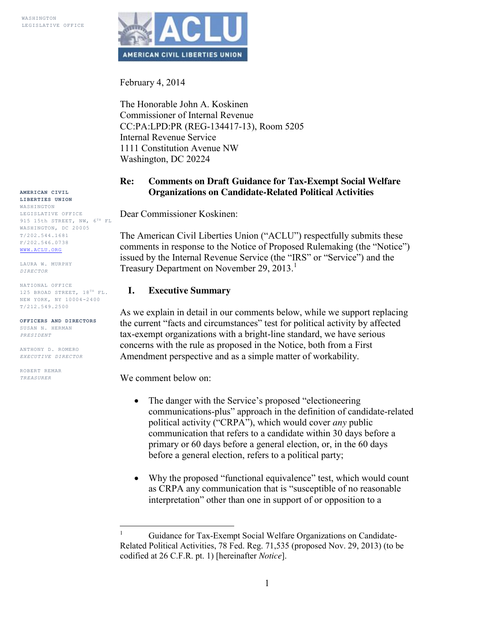

February 4, 2014

The Honorable John A. Koskinen Commissioner of Internal Revenue CC:PA:LPD:PR (REG-134417-13), Room 5205 Internal Revenue Service 1111 Constitution Avenue NW Washington, DC 20224

#### **Re: Comments on Draft Guidance for Tax-Exempt Social Welfare Organizations on Candidate-Related Political Activities**

Dear Commissioner Koskinen:

The American Civil Liberties Union ("ACLU") respectfully submits these comments in response to the Notice of Proposed Rulemaking (the "Notice") issued by the Internal Revenue Service (the "IRS" or "Service") and the Treasury Department on November 29, 2013.<sup>1</sup>

#### **I. Executive Summary**

As we explain in detail in our comments below, while we support replacing the current "facts and circumstances" test for political activity by affected tax-exempt organizations with a bright-line standard, we have serious concerns with the rule as proposed in the Notice, both from a First Amendment perspective and as a simple matter of workability.

We comment below on:

- The danger with the Service's proposed "electioneering" communications-plus" approach in the definition of candidate-related political activity ("CRPA"), which would cover *any* public communication that refers to a candidate within 30 days before a primary or 60 days before a general election, or, in the 60 days before a general election, refers to a political party;
- Why the proposed "functional equivalence" test, which would count as CRPA any communication that is "susceptible of no reasonable interpretation" other than one in support of or opposition to a

**AMERICAN CIVIL LIBERTIES UNION** WASHINGTON LEGISLATIVE OFFICE 915 15th STREET, NW,  $6^{TH}$  FL WASHINGTON, DC 20005 T/202.544.1681 F/202.546.0738 [WWW.ACLU.ORG](http://www.aclu.org/)

LAURA W. MURPHY *DIRECTOR*

NATIONAL OFFICE 125 BROAD STREET,  $18^{TH}$  FL. NEW YORK, NY 10004-2400 T/212.549.2500

**OFFICERS AND DIRECTORS** SUSAN N. HERMAN *PRESIDENT*

ANTHONY D. ROMERO *EXECUTIVE DIRECTOR*

ROBERT REMAR *TREASURER*

<sup>&</sup>lt;sup>1</sup> Guidance for Tax-Exempt Social Welfare Organizations on Candidate-Related Political Activities, 78 Fed. Reg. 71,535 (proposed Nov. 29, 2013) (to be codified at 26 C.F.R. pt. 1) [hereinafter *Notice*].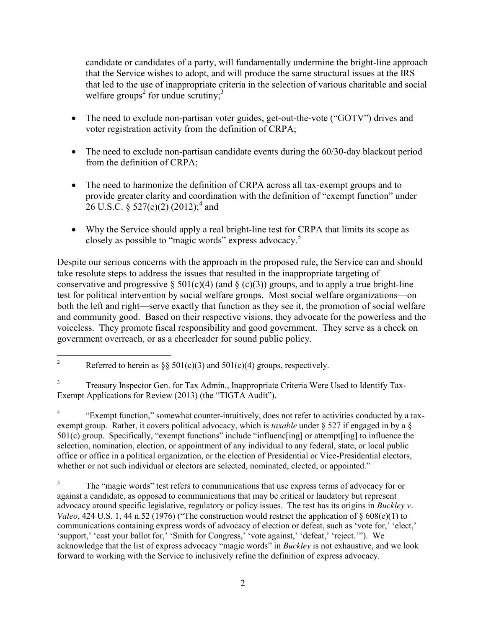candidate or candidates of a party, will fundamentally undermine the bright-line approach that the Service wishes to adopt, and will produce the same structural issues at the IRS that led to the use of inappropriate criteria in the selection of various charitable and social welfare groups<sup>2</sup> for undue scrutiny;<sup>3</sup>

- The need to exclude non-partisan voter guides, get-out-the-vote ("GOTV") drives and voter registration activity from the definition of CRPA;
- The need to exclude non-partisan candidate events during the 60/30-day blackout period from the definition of CRPA;
- The need to harmonize the definition of CRPA across all tax-exempt groups and to provide greater clarity and coordination with the definition of "exempt function" under 26 U.S.C. § 527(e)(2) (2012);<sup>4</sup> and
- Why the Service should apply a real bright-line test for CRPA that limits its scope as closely as possible to "magic words" express advocacy.<sup>5</sup>

Despite our serious concerns with the approach in the proposed rule, the Service can and should take resolute steps to address the issues that resulted in the inappropriate targeting of conservative and progressive  $\S 501(c)(4)$  (and  $\S (c)(3)$ ) groups, and to apply a true bright-line test for political intervention by social welfare groups. Most social welfare organizations—on both the left and right—serve exactly that function as they see it, the promotion of social welfare and community good. Based on their respective visions, they advocate for the powerless and the voiceless. They promote fiscal responsibility and good government. They serve as a check on government overreach, or as a cheerleader for sound public policy.

<sup>4</sup> "Exempt function," somewhat counter-intuitively, does not refer to activities conducted by a taxexempt group. Rather, it covers political advocacy, which is *taxable* under § 527 if engaged in by a § 501(c) group. Specifically, "exempt functions" include "influenc[ing] or attempt[ing] to influence the selection, nomination, election, or appointment of any individual to any federal, state, or local public office or office in a political organization, or the election of Presidential or Vice-Presidential electors, whether or not such individual or electors are selected, nominated, elected, or appointed."

<sup>5</sup> The "magic words" test refers to communications that use express terms of advocacy for or against a candidate, as opposed to communications that may be critical or laudatory but represent advocacy around specific legislative, regulatory or policy issues. The test has its origins in *Buckley v. Valeo*, 424 U.S. 1, 44 n.52 (1976) ("The construction would restrict the application of  $\frac{608(e)}{1}$  to communications containing express words of advocacy of election or defeat, such as 'vote for,' 'elect,' 'support,' 'cast your ballot for,' 'Smith for Congress,' 'vote against,' 'defeat,' 'reject.'"). We acknowledge that the list of express advocacy "magic words" in *Buckley* is not exhaustive, and we look forward to working with the Service to inclusively refine the definition of express advocacy.

<sup>&</sup>lt;sup>2</sup> Referred to herein as §§ 501(c)(3) and 501(c)(4) groups, respectively.

<sup>&</sup>lt;sup>3</sup> Treasury Inspector Gen. for Tax Admin., Inappropriate Criteria Were Used to Identify Tax-Exempt Applications for Review (2013) (the "TIGTA Audit").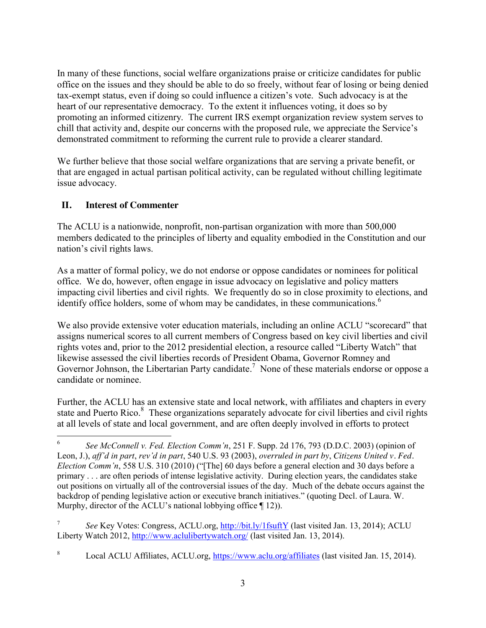In many of these functions, social welfare organizations praise or criticize candidates for public office on the issues and they should be able to do so freely, without fear of losing or being denied tax-exempt status, even if doing so could influence a citizen's vote. Such advocacy is at the heart of our representative democracy. To the extent it influences voting, it does so by promoting an informed citizenry. The current IRS exempt organization review system serves to chill that activity and, despite our concerns with the proposed rule, we appreciate the Service's demonstrated commitment to reforming the current rule to provide a clearer standard.

We further believe that those social welfare organizations that are serving a private benefit, or that are engaged in actual partisan political activity, can be regulated without chilling legitimate issue advocacy.

## **II. Interest of Commenter**

The ACLU is a nationwide, nonprofit, non-partisan organization with more than 500,000 members dedicated to the principles of liberty and equality embodied in the Constitution and our nation's civil rights laws.

As a matter of formal policy, we do not endorse or oppose candidates or nominees for political office. We do, however, often engage in issue advocacy on legislative and policy matters impacting civil liberties and civil rights. We frequently do so in close proximity to elections, and identify office holders, some of whom may be candidates, in these communications.<sup>6</sup>

We also provide extensive voter education materials, including an online ACLU "scorecard" that assigns numerical scores to all current members of Congress based on key civil liberties and civil rights votes and, prior to the 2012 presidential election, a resource called "Liberty Watch" that likewise assessed the civil liberties records of President Obama, Governor Romney and Governor Johnson, the Libertarian Party candidate.<sup>7</sup> None of these materials endorse or oppose a candidate or nominee.

Further, the ACLU has an extensive state and local network, with affiliates and chapters in every state and Puerto Rico.<sup>8</sup> These organizations separately advocate for civil liberties and civil rights at all levels of state and local government, and are often deeply involved in efforts to protect

<sup>7</sup> *See* Key Votes: Congress, ACLU.org,<http://bit.ly/1fsuftY> (last visited Jan. 13, 2014); ACLU Liberty Watch 2012,<http://www.aclulibertywatch.org/> (last visited Jan. 13, 2014).

 <sup>6</sup> *See McConnell v. Fed. Election Comm'n*, 251 F. Supp. 2d 176, 793 (D.D.C. 2003) (opinion of Leon, J.), *aff'd in part*, *rev'd in part*, 540 U.S. 93 (2003), *overruled in part by*, *Citizens United v. Fed. Election Comm'n*, 558 U.S. 310 (2010) ("[The] 60 days before a general election and 30 days before a primary . . . are often periods of intense legislative activity. During election years, the candidates stake out positions on virtually all of the controversial issues of the day. Much of the debate occurs against the backdrop of pending legislative action or executive branch initiatives." (quoting Decl. of Laura. W. Murphy, director of the ACLU's national lobbying office  $\P$  12)).

<sup>&</sup>lt;sup>8</sup> Local ACLU Affiliates, ACLU.org,<https://www.aclu.org/affiliates> (last visited Jan. 15, 2014).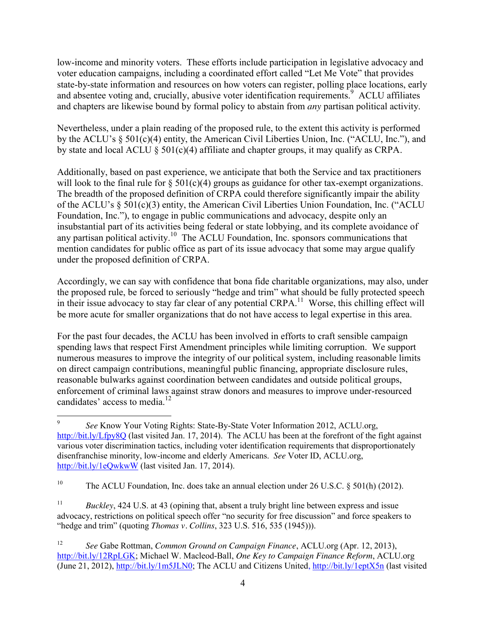low-income and minority voters. These efforts include participation in legislative advocacy and voter education campaigns, including a coordinated effort called "Let Me Vote" that provides state-by-state information and resources on how voters can register, polling place locations, early and absentee voting and, crucially, abusive voter identification requirements.<sup>9</sup> ACLU affiliates and chapters are likewise bound by formal policy to abstain from *any* partisan political activity.

Nevertheless, under a plain reading of the proposed rule, to the extent this activity is performed by the ACLU's § 501(c)(4) entity, the American Civil Liberties Union, Inc. ("ACLU, Inc."), and by state and local ACLU  $\S$  501(c)(4) affiliate and chapter groups, it may qualify as CRPA.

Additionally, based on past experience, we anticipate that both the Service and tax practitioners will look to the final rule for  $\S 501(c)(4)$  groups as guidance for other tax-exempt organizations. The breadth of the proposed definition of CRPA could therefore significantly impair the ability of the ACLU's § 501(c)(3) entity, the American Civil Liberties Union Foundation, Inc. ("ACLU Foundation, Inc."), to engage in public communications and advocacy, despite only an insubstantial part of its activities being federal or state lobbying, and its complete avoidance of any partisan political activity. 10 The ACLU Foundation, Inc. sponsors communications that mention candidates for public office as part of its issue advocacy that some may argue qualify under the proposed definition of CRPA.

Accordingly, we can say with confidence that bona fide charitable organizations, may also, under the proposed rule, be forced to seriously "hedge and trim" what should be fully protected speech in their issue advocacy to stay far clear of any potential CRPA.<sup>11</sup> Worse, this chilling effect will be more acute for smaller organizations that do not have access to legal expertise in this area.

For the past four decades, the ACLU has been involved in efforts to craft sensible campaign spending laws that respect First Amendment principles while limiting corruption. We support numerous measures to improve the integrity of our political system, including reasonable limits on direct campaign contributions, meaningful public financing, appropriate disclosure rules, reasonable bulwarks against coordination between candidates and outside political groups, enforcement of criminal laws against straw donors and measures to improve under-resourced candidates' access to media.<sup>12</sup>

 <sup>9</sup> *See* Know Your Voting Rights: State-By-State Voter Information 2012, ACLU.org, <http://bit.ly/Lfpy8Q> (last visited Jan. 17, 2014). The ACLU has been at the forefront of the fight against various voter discrimination tactics, including voter identification requirements that disproportionately disenfranchise minority, low-income and elderly Americans. *See* Voter ID, ACLU.org, <http://bit.ly/1eQwkwW> (last visited Jan. 17, 2014).

<sup>&</sup>lt;sup>10</sup> The ACLU Foundation, Inc. does take an annual election under 26 U.S.C.  $\S$  501(h) (2012).

<sup>&</sup>lt;sup>11</sup> *Buckley*, 424 U.S. at 43 (opining that, absent a truly bright line between express and issue advocacy, restrictions on political speech offer "no security for free discussion" and force speakers to "hedge and trim" (quoting *Thomas v. Collins*, 323 U.S. 516, 535 (1945))).

<sup>12</sup> *See* Gabe Rottman, *Common Ground on Campaign Finance*, ACLU.org (Apr. 12, 2013), [http://bit.ly/12RpLGK;](http://bit.ly/12RpLGK) Michael W. Macleod-Ball, *One Key to Campaign Finance Reform*, ACLU.org (June 21, 2012), [http://bit.ly/1m5JLN0;](http://bit.ly/1m5JLN0) The ACLU and Citizens United[, http://bit.ly/1eptX5n](http://bit.ly/1eptX5n) (last visited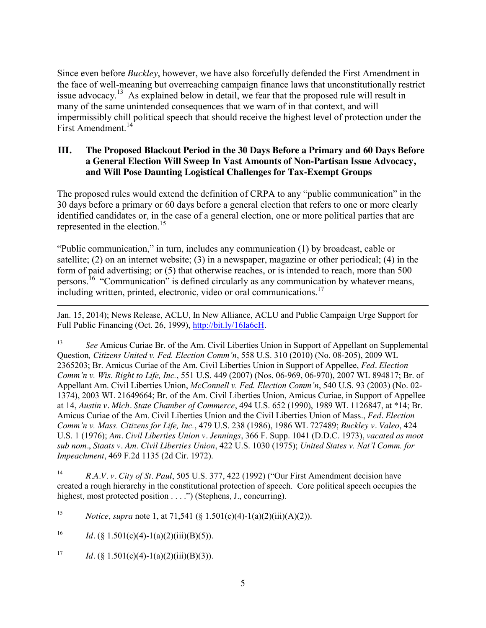Since even before *Buckley*, however, we have also forcefully defended the First Amendment in the face of well-meaning but overreaching campaign finance laws that unconstitutionally restrict issue advocacy.<sup>13</sup> As explained below in detail, we fear that the proposed rule will result in many of the same unintended consequences that we warn of in that context, and will impermissibly chill political speech that should receive the highest level of protection under the First Amendment.<sup>14</sup>

#### **III. The Proposed Blackout Period in the 30 Days Before a Primary and 60 Days Before a General Election Will Sweep In Vast Amounts of Non-Partisan Issue Advocacy, and Will Pose Daunting Logistical Challenges for Tax-Exempt Groups**

The proposed rules would extend the definition of CRPA to any "public communication" in the 30 days before a primary or 60 days before a general election that refers to one or more clearly identified candidates or, in the case of a general election, one or more political parties that are represented in the election.<sup>15</sup>

"Public communication," in turn, includes any communication (1) by broadcast, cable or satellite; (2) on an internet website; (3) in a newspaper, magazine or other periodical; (4) in the form of paid advertising; or (5) that otherwise reaches, or is intended to reach, more than 500 persons.16 "Communication" is defined circularly as any communication by whatever means, including written, printed, electronic, video or oral communications.<sup>17</sup>

Jan. 15, 2014); News Release, ACLU, In New Alliance, ACLU and Public Campaign Urge Support for Full Public Financing (Oct. 26, 1999), [http://bit.ly/16Ia6cH.](http://bit.ly/16Ia6cH)

<sup>13</sup> *See* Amicus Curiae Br. of the Am. Civil Liberties Union in Support of Appellant on Supplemental Question*, Citizens United v. Fed. Election Comm'n*, 558 U.S. 310 (2010) (No. 08-205), 2009 WL 2365203; Br. Amicus Curiae of the Am. Civil Liberties Union in Support of Appellee, *Fed. Election Comm'n v. Wis. Right to Life, Inc.*, 551 U.S. 449 (2007) (Nos. 06-969, 06-970), 2007 WL 894817; Br. of Appellant Am. Civil Liberties Union, *McConnell v. Fed. Election Comm'n*, 540 U.S. 93 (2003) (No. 02- 1374), 2003 WL 21649664; Br. of the Am. Civil Liberties Union, Amicus Curiae, in Support of Appellee at 14, *Austin v. Mich. State Chamber of Commerce*, 494 U.S. 652 (1990), 1989 WL 1126847, at \*14; Br. Amicus Curiae of the Am. Civil Liberties Union and the Civil Liberties Union of Mass., *Fed. Election Comm'n v. Mass. Citizens for Life, Inc.*, 479 U.S. 238 (1986), 1986 WL 727489; *Buckley v. Valeo*, 424 U.S. 1 (1976); *Am. Civil Liberties Union v. Jennings*, 366 F. Supp. 1041 (D.D.C. 1973), *vacated as moot sub nom.*, *Staats v. Am. Civil Liberties Union*, 422 U.S. 1030 (1975); *United States v. Nat'l Comm. for Impeachment*, 469 F.2d 1135 (2d Cir. 1972).

<sup>14</sup> *R.A.V. v. City of St. Paul*, 505 U.S. 377, 422 (1992) ("Our First Amendment decision have created a rough hierarchy in the constitutional protection of speech. Core political speech occupies the highest, most protected position . . . .") (Stephens, J., concurring).

<sup>15</sup> *Notice*, *supra* note 1, at 71,541 (§ 1.501(c)(4)-1(a)(2)(iii)(A)(2)).

<sup>16</sup> *Id.* (§ 1.501(c)(4)-1(a)(2)(iii)(B)(5)).

 $\overline{a}$ 

<sup>17</sup> *Id.* (§ 1.501(c)(4)-1(a)(2)(iii)(B)(3)).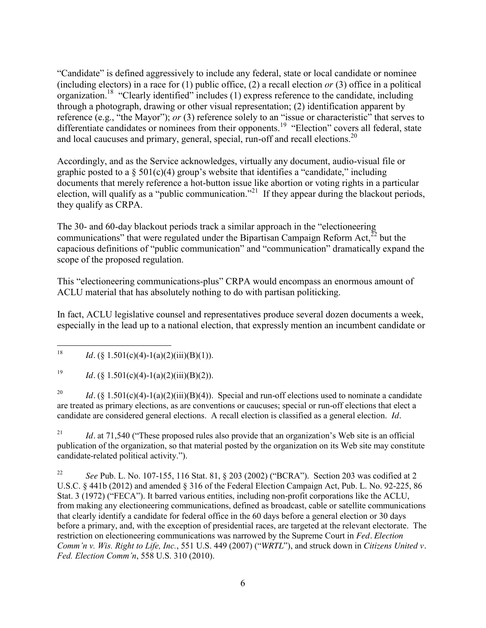"Candidate" is defined aggressively to include any federal, state or local candidate or nominee (including electors) in a race for  $(1)$  public office,  $(2)$  a recall election *or*  $(3)$  office in a political organization.18 "Clearly identified" includes (1) express reference to the candidate, including through a photograph, drawing or other visual representation; (2) identification apparent by reference (e.g., "the Mayor"); *or* (3) reference solely to an "issue or characteristic" that serves to differentiate candidates or nominees from their opponents.<sup>19</sup> "Election" covers all federal, state and local caucuses and primary, general, special, run-off and recall elections.<sup>20</sup>

Accordingly, and as the Service acknowledges, virtually any document, audio-visual file or graphic posted to a  $\S 501(c)(4)$  group's website that identifies a "candidate," including documents that merely reference a hot-button issue like abortion or voting rights in a particular election, will qualify as a "public communication."<sup>21</sup> If they appear during the blackout periods, they qualify as CRPA.

The 30- and 60-day blackout periods track a similar approach in the "electioneering communications" that were regulated under the Bipartisan Campaign Reform Act, $^{22}$  but the capacious definitions of "public communication" and "communication" dramatically expand the scope of the proposed regulation.

This "electioneering communications-plus" CRPA would encompass an enormous amount of ACLU material that has absolutely nothing to do with partisan politicking.

In fact, ACLU legislative counsel and representatives produce several dozen documents a week, especially in the lead up to a national election, that expressly mention an incumbent candidate or

<sup>19</sup> *Id.* (§ 1.501(c)(4)-1(a)(2)(iii)(B)(2)).

<sup>20</sup> *Id.*  $(\S 1.501(c)(4) - 1(a)(2)(iii)(B)(4))$ . Special and run-off elections used to nominate a candidate are treated as primary elections, as are conventions or caucuses; special or run-off elections that elect a candidate are considered general elections. A recall election is classified as a general election. *Id.* 

<sup>21</sup> *Id.* at 71,540 ("These proposed rules also provide that an organization's Web site is an official publication of the organization, so that material posted by the organization on its Web site may constitute candidate-related political activity.").

<sup>22</sup> *See* Pub. L. No. 107-155, 116 Stat. 81, § 203 (2002) ("BCRA"). Section 203 was codified at 2 U.S.C. § 441b (2012) and amended § 316 of the Federal Election Campaign Act, Pub. L. No. 92-225, 86 Stat. 3 (1972) ("FECA"). It barred various entities, including non-profit corporations like the ACLU, from making any electioneering communications, defined as broadcast, cable or satellite communications that clearly identify a candidate for federal office in the 60 days before a general election or 30 days before a primary, and, with the exception of presidential races, are targeted at the relevant electorate. The restriction on electioneering communications was narrowed by the Supreme Court in *Fed. Election Comm'n v. Wis. Right to Life, Inc.*, 551 U.S. 449 (2007) ("*WRTL*"), and struck down in *Citizens United v. Fed. Election Comm'n*, 558 U.S. 310 (2010).

<sup>&</sup>lt;sup>18</sup> *Id.*  $(§ 1.501(c)(4)-1(a)(2)(iii)(B)(1)).$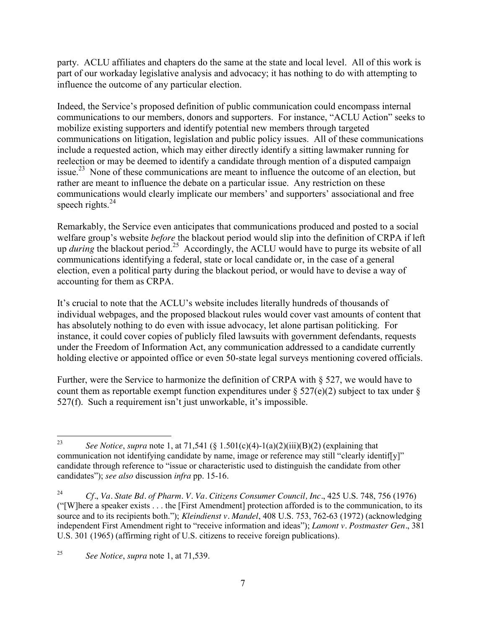party. ACLU affiliates and chapters do the same at the state and local level. All of this work is part of our workaday legislative analysis and advocacy; it has nothing to do with attempting to influence the outcome of any particular election.

Indeed, the Service's proposed definition of public communication could encompass internal communications to our members, donors and supporters. For instance, "ACLU Action" seeks to mobilize existing supporters and identify potential new members through targeted communications on litigation, legislation and public policy issues. All of these communications include a requested action, which may either directly identify a sitting lawmaker running for reelection or may be deemed to identify a candidate through mention of a disputed campaign issue.<sup>23</sup> None of these communications are meant to influence the outcome of an election, but rather are meant to influence the debate on a particular issue. Any restriction on these communications would clearly implicate our members' and supporters' associational and free speech rights. $^{24}$ 

Remarkably, the Service even anticipates that communications produced and posted to a social welfare group's website *before* the blackout period would slip into the definition of CRPA if left up *during* the blackout period.<sup>25</sup> Accordingly, the ACLU would have to purge its website of all communications identifying a federal, state or local candidate or, in the case of a general election, even a political party during the blackout period, or would have to devise a way of accounting for them as CRPA.

It's crucial to note that the ACLU's website includes literally hundreds of thousands of individual webpages, and the proposed blackout rules would cover vast amounts of content that has absolutely nothing to do even with issue advocacy, let alone partisan politicking. For instance, it could cover copies of publicly filed lawsuits with government defendants, requests under the Freedom of Information Act, any communication addressed to a candidate currently holding elective or appointed office or even 50-state legal surveys mentioning covered officials.

Further, were the Service to harmonize the definition of CRPA with § 527, we would have to count them as reportable exempt function expenditures under  $\S 527(e)(2)$  subject to tax under  $\S$ 527(f). Such a requirement isn't just unworkable, it's impossible.

<sup>&</sup>lt;sup>23</sup> *See Notice*, *supra* note 1, at 71,541 (§ 1.501(c)(4)-1(a)(2)(iii)(B)(2) (explaining that communication not identifying candidate by name, image or reference may still "clearly identiffy]" candidate through reference to "issue or characteristic used to distinguish the candidate from other candidates"); *see also* discussion *infra* pp. 15-16.

<sup>24</sup> *Cf.*, *Va. State Bd. of Pharm. V. Va. Citizens Consumer Council, Inc.*, 425 U.S. 748, 756 (1976) ("[W]here a speaker exists . . . the [First Amendment] protection afforded is to the communication, to its source and to its recipients both."); *Kleindienst v. Mandel*, 408 U.S. 753, 762-63 (1972) (acknowledging independent First Amendment right to "receive information and ideas"); *Lamont v. Postmaster Gen.*, 381 U.S. 301 (1965) (affirming right of U.S. citizens to receive foreign publications).

<sup>25</sup> *See Notice*, *supra* note 1, at 71,539.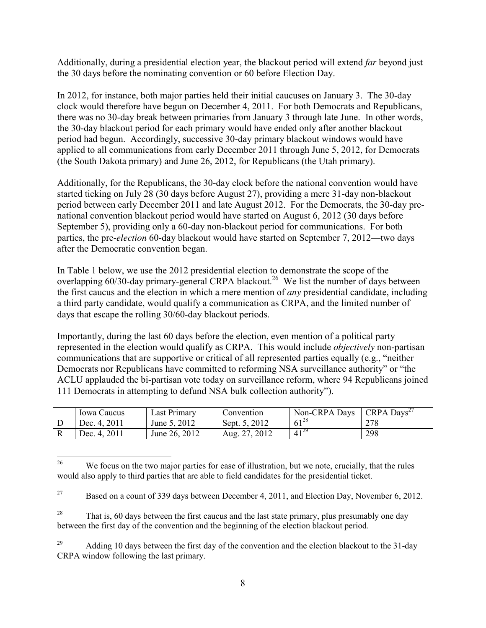Additionally, during a presidential election year, the blackout period will extend *far* beyond just the 30 days before the nominating convention or 60 before Election Day.

In 2012, for instance, both major parties held their initial caucuses on January 3. The 30-day clock would therefore have begun on December 4, 2011. For both Democrats and Republicans, there was no 30-day break between primaries from January 3 through late June. In other words, the 30-day blackout period for each primary would have ended only after another blackout period had begun. Accordingly, successive 30-day primary blackout windows would have applied to all communications from early December 2011 through June 5, 2012, for Democrats (the South Dakota primary) and June 26, 2012, for Republicans (the Utah primary).

Additionally, for the Republicans, the 30-day clock before the national convention would have started ticking on July 28 (30 days before August 27), providing a mere 31-day non-blackout period between early December 2011 and late August 2012. For the Democrats, the 30-day prenational convention blackout period would have started on August 6, 2012 (30 days before September 5), providing only a 60-day non-blackout period for communications. For both parties, the pre-*election* 60-day blackout would have started on September 7, 2012—two days after the Democratic convention began.

In Table 1 below, we use the 2012 presidential election to demonstrate the scope of the overlapping  $60/30$ -day primary-general CRPA blackout.<sup>26</sup> We list the number of days between the first caucus and the election in which a mere mention of *any* presidential candidate, including a third party candidate, would qualify a communication as CRPA, and the limited number of days that escape the rolling 30/60-day blackout periods.

Importantly, during the last 60 days before the election, even mention of a political party represented in the election would qualify as CRPA. This would include *objectively* non-partisan communications that are supportive or critical of all represented parties equally (e.g., "neither Democrats nor Republicans have committed to reforming NSA surveillance authority" or "the ACLU applauded the bi-partisan vote today on surveillance reform, where 94 Republicans joined 111 Democrats in attempting to defund NSA bulk collection authority").

|   | lowa Caucus        | ast Primary   | onvention          | Non-CRPA Days    | <b>CRPA</b><br>$D$ avs <sup>2</sup> |
|---|--------------------|---------------|--------------------|------------------|-------------------------------------|
| ◡ | Dec. 4, 2011       | June 5, 2012  | 2012<br>Sept. $5.$ | $61^{28}$        | 278                                 |
| v | $201_1$<br>Dec. 4. | June 26, 2012 | 2012<br>Aug        | $\sqrt{41}^{29}$ | 298                                 |

<sup>&</sup>lt;sup>26</sup> We focus on the two major parties for ease of illustration, but we note, crucially, that the rules would also apply to third parties that are able to field candidates for the presidential ticket.

<sup>&</sup>lt;sup>27</sup> Based on a count of 339 days between December 4, 2011, and Election Day, November 6, 2012.

<sup>&</sup>lt;sup>28</sup> That is, 60 days between the first caucus and the last state primary, plus presumably one day between the first day of the convention and the beginning of the election blackout period.

 $^{29}$  Adding 10 days between the first day of the convention and the election blackout to the 31-day CRPA window following the last primary.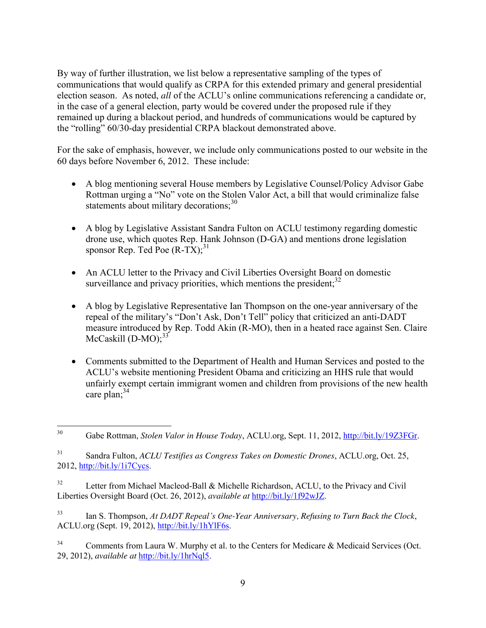By way of further illustration, we list below a representative sampling of the types of communications that would qualify as CRPA for this extended primary and general presidential election season. As noted, *all* of the ACLU's online communications referencing a candidate or, in the case of a general election, party would be covered under the proposed rule if they remained up during a blackout period, and hundreds of communications would be captured by the "rolling" 60/30-day presidential CRPA blackout demonstrated above.

For the sake of emphasis, however, we include only communications posted to our website in the 60 days before November 6, 2012. These include:

- A blog mentioning several House members by Legislative Counsel/Policy Advisor Gabe Rottman urging a "No" vote on the Stolen Valor Act, a bill that would criminalize false statements about military decorations; $30<sup>30</sup>$
- A blog by Legislative Assistant Sandra Fulton on ACLU testimony regarding domestic drone use, which quotes Rep. Hank Johnson (D-GA) and mentions drone legislation sponsor Rep. Ted Poe  $(R-TX)$ ;<sup>31</sup>
- An ACLU letter to the Privacy and Civil Liberties Oversight Board on domestic surveillance and privacy priorities, which mentions the president; $^{32}$
- A blog by Legislative Representative Ian Thompson on the one-year anniversary of the repeal of the military's "Don't Ask, Don't Tell" policy that criticized an anti-DADT measure introduced by Rep. Todd Akin (R-MO), then in a heated race against Sen. Claire McCaskill (D-MO);<sup>33</sup>
- Comments submitted to the Department of Health and Human Services and posted to the ACLU's website mentioning President Obama and criticizing an HHS rule that would unfairly exempt certain immigrant women and children from provisions of the new health care plan; 34

 <sup>30</sup> Gabe Rottman, *Stolen Valor in House Today*, ACLU.org, Sept. 11, 2012, [http://bit.ly/19Z3FGr.](http://bit.ly/19Z3FGr)

<sup>31</sup> Sandra Fulton, *ACLU Testifies as Congress Takes on Domestic Drones*, ACLU.org, Oct. 25,  $2012$ , [http://bit.ly/1i7Cycs.](http://bit.ly/1i7Cycs)

<sup>&</sup>lt;sup>32</sup> Letter from Michael Macleod-Ball & Michelle Richardson, ACLU, to the Privacy and Civil Liberties Oversight Board (Oct. 26, 2012), *available at* [http://bit.ly/1f92wJZ.](http://bit.ly/1f92wJZ)

<sup>33</sup> Ian S. Thompson, *At DADT Repeal's One-Year Anniversary, Refusing to Turn Back the Clock*, ACLU.org (Sept. 19, 2012), [http://bit.ly/1hYlF6s.](http://bit.ly/1hYlF6s)

<sup>&</sup>lt;sup>34</sup> Comments from Laura W. Murphy et al. to the Centers for Medicare & Medicaid Services (Oct. 29, 2012), *available at* [http://bit.ly/1hrNql5.](http://bit.ly/1hrNql5)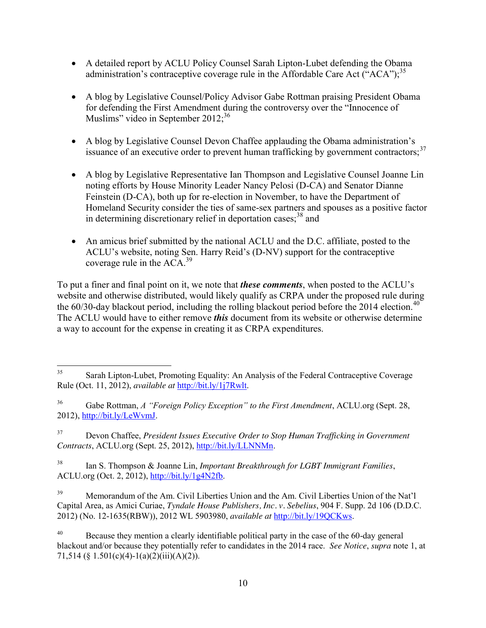- A detailed report by ACLU Policy Counsel Sarah Lipton-Lubet defending the Obama administration's contraceptive coverage rule in the Affordable Care Act  $("ACA")$ ;<sup>35</sup>
- A blog by Legislative Counsel/Policy Advisor Gabe Rottman praising President Obama for defending the First Amendment during the controversy over the "Innocence of Muslims" video in September 2012;<sup>36</sup>
- A blog by Legislative Counsel Devon Chaffee applauding the Obama administration's issuance of an executive order to prevent human trafficking by government contractors;<sup>37</sup>
- A blog by Legislative Representative Ian Thompson and Legislative Counsel Joanne Lin noting efforts by House Minority Leader Nancy Pelosi (D-CA) and Senator Dianne Feinstein (D-CA), both up for re-election in November, to have the Department of Homeland Security consider the ties of same-sex partners and spouses as a positive factor in determining discretionary relief in deportation cases;  $38$  and
- An amicus brief submitted by the national ACLU and the D.C. affiliate, posted to the ACLU's website, noting Sen. Harry Reid's (D-NV) support for the contraceptive coverage rule in the ACA.<sup>39</sup>

To put a finer and final point on it, we note that *these comments*, when posted to the ACLU's website and otherwise distributed, would likely qualify as CRPA under the proposed rule during the  $60/30$ -day blackout period, including the rolling blackout period before the 2014 election.<sup>40</sup> The ACLU would have to either remove *this* document from its website or otherwise determine a way to account for the expense in creating it as CRPA expenditures.

<sup>37</sup> Devon Chaffee, *President Issues Executive Order to Stop Human Trafficking in Government Contracts*, ACLU.org (Sept. 25, 2012), [http://bit.ly/LLNNMn.](http://bit.ly/LLNNMn)

<sup>38</sup> Ian S. Thompson & Joanne Lin, *Important Breakthrough for LGBT Immigrant Families*, ACLU.org (Oct. 2, 2012), [http://bit.ly/1g4N2fb.](http://bit.ly/1g4N2fb)

<sup>40</sup> Because they mention a clearly identifiable political party in the case of the 60-day general blackout and/or because they potentially refer to candidates in the 2014 race. *See Notice*, *supra* note 1, at 71,514 (§ 1.501(c)(4)-1(a)(2)(iii)(A)(2)).

<sup>&</sup>lt;sup>35</sup> Sarah Lipton-Lubet, Promoting Equality: An Analysis of the Federal Contraceptive Coverage Rule (Oct. 11, 2012), *available at* [http://bit.ly/1j7Rwlt.](http://bit.ly/1j7Rwlt)

<sup>36</sup> Gabe Rottman, *A "Foreign Policy Exception" to the First Amendment*, ACLU.org (Sept. 28, 2012), [http://bit.ly/LeWvmJ.](http://bit.ly/LeWvmJ)

<sup>&</sup>lt;sup>39</sup> Memorandum of the Am. Civil Liberties Union and the Am. Civil Liberties Union of the Nat'l Capital Area, as Amici Curiae, *Tyndale House Publishers, Inc. v. Sebelius*, 904 F. Supp. 2d 106 (D.D.C. 2012) (No. 12-1635(RBW)), 2012 WL 5903980, *available at* [http://bit.ly/19QCKws.](http://bit.ly/19QCKws)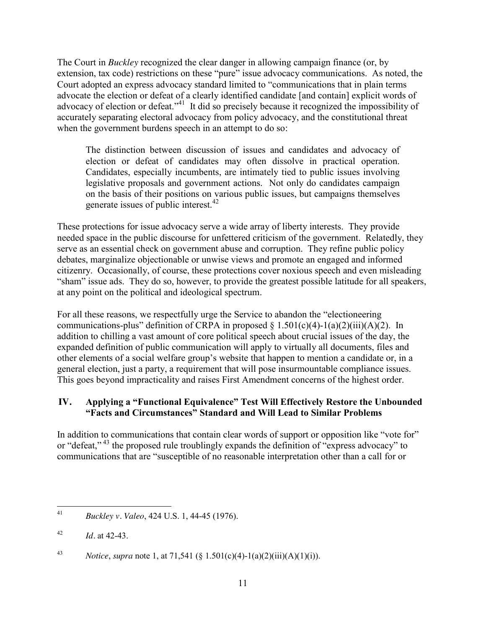The Court in *Buckley* recognized the clear danger in allowing campaign finance (or, by extension, tax code) restrictions on these "pure" issue advocacy communications. As noted, the Court adopted an express advocacy standard limited to "communications that in plain terms advocate the election or defeat of a clearly identified candidate [and contain] explicit words of advocacy of election or defeat."<sup>41</sup> It did so precisely because it recognized the impossibility of accurately separating electoral advocacy from policy advocacy, and the constitutional threat when the government burdens speech in an attempt to do so:

The distinction between discussion of issues and candidates and advocacy of election or defeat of candidates may often dissolve in practical operation. Candidates, especially incumbents, are intimately tied to public issues involving legislative proposals and government actions. Not only do candidates campaign on the basis of their positions on various public issues, but campaigns themselves generate issues of public interest.<sup>42</sup>

These protections for issue advocacy serve a wide array of liberty interests. They provide needed space in the public discourse for unfettered criticism of the government. Relatedly, they serve as an essential check on government abuse and corruption. They refine public policy debates, marginalize objectionable or unwise views and promote an engaged and informed citizenry. Occasionally, of course, these protections cover noxious speech and even misleading "sham" issue ads. They do so, however, to provide the greatest possible latitude for all speakers, at any point on the political and ideological spectrum.

For all these reasons, we respectfully urge the Service to abandon the "electioneering communications-plus" definition of CRPA in proposed  $\S 1.501(c)(4)$ -1(a)(2)(iii)(A)(2). In addition to chilling a vast amount of core political speech about crucial issues of the day, the expanded definition of public communication will apply to virtually all documents, files and other elements of a social welfare group's website that happen to mention a candidate or, in a general election, just a party, a requirement that will pose insurmountable compliance issues. This goes beyond impracticality and raises First Amendment concerns of the highest order.

## **IV. Applying a "Functional Equivalence" Test Will Effectively Restore the Unbounded "Facts and Circumstances" Standard and Will Lead to Similar Problems**

In addition to communications that contain clear words of support or opposition like "vote for" or "defeat,"<sup>43</sup> the proposed rule troublingly expands the definition of "express advocacy" to communications that are "susceptible of no reasonable interpretation other than a call for or

 <sup>41</sup> *Buckley v. Valeo*, 424 U.S. 1, 44-45 (1976).

<sup>42</sup> *Id.* at 42-43.

<sup>43</sup> *Notice*, *supra* note 1, at 71,541 (§ 1.501(c)(4)-1(a)(2)(iii)(A)(1)(i)).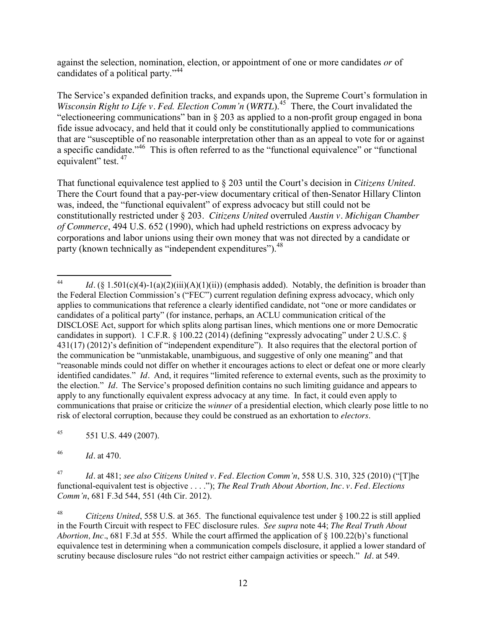against the selection, nomination, election, or appointment of one or more candidates *or* of candidates of a political party."<sup>44</sup>

The Service's expanded definition tracks, and expands upon, the Supreme Court's formulation in *Wisconsin Right to Life v. Fed. Election Comm'n* (*WRTL*). 45 There, the Court invalidated the "electioneering communications" ban in § 203 as applied to a non-profit group engaged in bona fide issue advocacy, and held that it could only be constitutionally applied to communications that are "susceptible of no reasonable interpretation other than as an appeal to vote for or against a specific candidate."46 This is often referred to as the "functional equivalence" or "functional equivalent" test. <sup>47</sup>

That functional equivalence test applied to § 203 until the Court's decision in *Citizens United*. There the Court found that a pay-per-view documentary critical of then-Senator Hillary Clinton was, indeed, the "functional equivalent" of express advocacy but still could not be constitutionally restricted under § 203. *Citizens United* overruled *Austin v. Michigan Chamber of Commerce*, 494 U.S. 652 (1990), which had upheld restrictions on express advocacy by corporations and labor unions using their own money that was not directed by a candidate or party (known technically as "independent expenditures").<sup>48</sup>

 $45$  551 U.S. 449 (2007).

<sup>46</sup> *Id.* at 470.

<sup>47</sup> *Id.* at 481; *see also Citizens United v. Fed. Election Comm'n*, 558 U.S. 310, 325 (2010) ("[T]he functional-equivalent test is objective . . . ."); *The Real Truth About Abortion, Inc. v. Fed. Elections Comm'n*, 681 F.3d 544, 551 (4th Cir. 2012).

<sup>48</sup> *Citizens United*, 558 U.S. at 365. The functional equivalence test under § 100.22 is still applied in the Fourth Circuit with respect to FEC disclosure rules. *See supra* note 44; *The Real Truth About Abortion, Inc.*, 681 F.3d at 555. While the court affirmed the application of § 100.22(b)'s functional equivalence test in determining when a communication compels disclosure, it applied a lower standard of scrutiny because disclosure rules "do not restrict either campaign activities or speech." *Id.* at 549.

<sup>&</sup>lt;sup>44</sup> *Id.* (§ 1.501(c)(4)-1(a)(2)(iii)(A)(1)(ii)) (emphasis added). Notably, the definition is broader than the Federal Election Commission's ("FEC") current regulation defining express advocacy, which only applies to communications that reference a clearly identified candidate, not "one or more candidates or candidates of a political party" (for instance, perhaps, an ACLU communication critical of the DISCLOSE Act, support for which splits along partisan lines, which mentions one or more Democratic candidates in support). 1 C.F.R. § 100.22 (2014) (defining "expressly advocating" under 2 U.S.C. § 431(17) (2012)'s definition of "independent expenditure"). It also requires that the electoral portion of the communication be "unmistakable, unambiguous, and suggestive of only one meaning" and that "reasonable minds could not differ on whether it encourages actions to elect or defeat one or more clearly identified candidates." *Id.* And, it requires "limited reference to external events, such as the proximity to the election." *Id.* The Service's proposed definition contains no such limiting guidance and appears to apply to any functionally equivalent express advocacy at any time. In fact, it could even apply to communications that praise or criticize the *winner* of a presidential election, which clearly pose little to no risk of electoral corruption, because they could be construed as an exhortation to *electors*.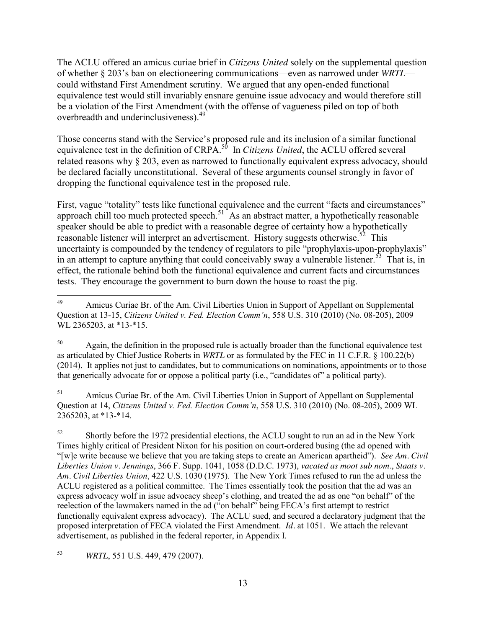The ACLU offered an amicus curiae brief in *Citizens United* solely on the supplemental question of whether § 203's ban on electioneering communications—even as narrowed under *WRTL* could withstand First Amendment scrutiny. We argued that any open-ended functional equivalence test would still invariably ensnare genuine issue advocacy and would therefore still be a violation of the First Amendment (with the offense of vagueness piled on top of both overbreadth and underinclusiveness).49

Those concerns stand with the Service's proposed rule and its inclusion of a similar functional equivalence test in the definition of CRPA.<sup>50</sup> In *Citizens United*, the ACLU offered several related reasons why § 203, even as narrowed to functionally equivalent express advocacy, should be declared facially unconstitutional. Several of these arguments counsel strongly in favor of dropping the functional equivalence test in the proposed rule.

First, vague "totality" tests like functional equivalence and the current "facts and circumstances" approach chill too much protected speech.<sup>51</sup> As an abstract matter, a hypothetically reasonable speaker should be able to predict with a reasonable degree of certainty how a hypothetically reasonable listener will interpret an advertisement. History suggests otherwise.<sup>52</sup> This uncertainty is compounded by the tendency of regulators to pile "prophylaxis-upon-prophylaxis" in an attempt to capture anything that could conceivably sway a vulnerable listener.<sup>53</sup> That is, in effect, the rationale behind both the functional equivalence and current facts and circumstances tests. They encourage the government to burn down the house to roast the pig.

<sup>51</sup> Amicus Curiae Br. of the Am. Civil Liberties Union in Support of Appellant on Supplemental Question at 14, *Citizens United v. Fed. Election Comm'n*, 558 U.S. 310 (2010) (No. 08-205), 2009 WL 2365203, at \*13-\*14.

<sup>52</sup> Shortly before the 1972 presidential elections, the ACLU sought to run an ad in the New York Times highly critical of President Nixon for his position on court-ordered busing (the ad opened with "[w]e write because we believe that you are taking steps to create an American apartheid"). *See Am. Civil Liberties Union v. Jennings*, 366 F. Supp. 1041, 1058 (D.D.C. 1973), *vacated as moot sub nom.*, *Staats v. Am. Civil Liberties Union*, 422 U.S. 1030 (1975). The New York Times refused to run the ad unless the ACLU registered as a political committee. The Times essentially took the position that the ad was an express advocacy wolf in issue advocacy sheep's clothing, and treated the ad as one "on behalf" of the reelection of the lawmakers named in the ad ("on behalf" being FECA's first attempt to restrict functionally equivalent express advocacy). The ACLU sued, and secured a declaratory judgment that the proposed interpretation of FECA violated the First Amendment. *Id.* at 1051. We attach the relevant advertisement, as published in the federal reporter, in Appendix I.

<sup>53</sup> *WRTL*, 551 U.S. 449, 479 (2007).

<sup>&</sup>lt;sup>49</sup> Amicus Curiae Br. of the Am. Civil Liberties Union in Support of Appellant on Supplemental Question at 13-15, *Citizens United v. Fed. Election Comm'n*, 558 U.S. 310 (2010) (No. 08-205), 2009 WL 2365203, at \*13-\*15.

 $50$  Again, the definition in the proposed rule is actually broader than the functional equivalence test as articulated by Chief Justice Roberts in *WRTL* or as formulated by the FEC in 11 C.F.R. § 100.22(b) (2014). It applies not just to candidates, but to communications on nominations, appointments or to those that generically advocate for or oppose a political party (i.e., "candidates of" a political party).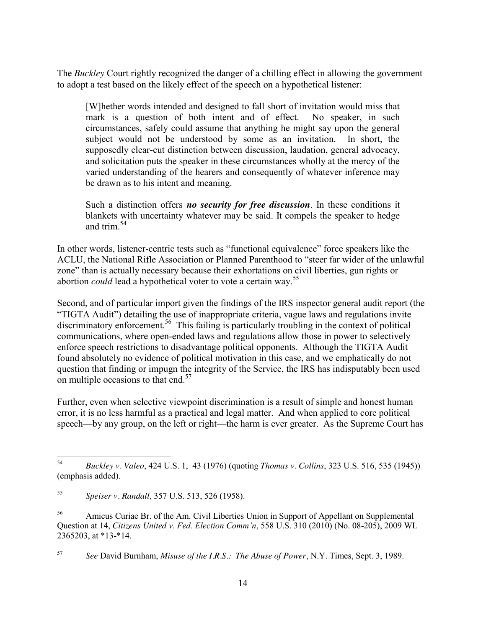The *Buckley* Court rightly recognized the danger of a chilling effect in allowing the government to adopt a test based on the likely effect of the speech on a hypothetical listener:

[W]hether words intended and designed to fall short of invitation would miss that mark is a question of both intent and of effect. No speaker, in such circumstances, safely could assume that anything he might say upon the general subject would not be understood by some as an invitation. In short, the supposedly clear-cut distinction between discussion, laudation, general advocacy, and solicitation puts the speaker in these circumstances wholly at the mercy of the varied understanding of the hearers and consequently of whatever inference may be drawn as to his intent and meaning.

Such a distinction offers *no security for free discussion*. In these conditions it blankets with uncertainty whatever may be said. It compels the speaker to hedge and trim  $54$ 

In other words, listener-centric tests such as "functional equivalence" force speakers like the ACLU, the National Rifle Association or Planned Parenthood to "steer far wider of the unlawful zone" than is actually necessary because their exhortations on civil liberties, gun rights or abortion *could* lead a hypothetical voter to vote a certain way.<sup>55</sup>

Second, and of particular import given the findings of the IRS inspector general audit report (the "TIGTA Audit") detailing the use of inappropriate criteria, vague laws and regulations invite  $\frac{1}{2}$  discriminatory enforcement.<sup>56</sup> This failing is particularly troubling in the context of political communications, where open-ended laws and regulations allow those in power to selectively enforce speech restrictions to disadvantage political opponents. Although the TIGTA Audit found absolutely no evidence of political motivation in this case, and we emphatically do not question that finding or impugn the integrity of the Service, the IRS has indisputably been used on multiple occasions to that end.<sup>57</sup>

Further, even when selective viewpoint discrimination is a result of simple and honest human error, it is no less harmful as a practical and legal matter. And when applied to core political speech—by any group, on the left or right—the harm is ever greater. As the Supreme Court has

 <sup>54</sup> *Buckley v. Valeo*, 424 U.S. 1, 43 (1976) (quoting *Thomas v. Collins*, 323 U.S. 516, 535 (1945)) (emphasis added).

<sup>55</sup> *Speiser v. Randall*, 357 U.S. 513, 526 (1958).

<sup>&</sup>lt;sup>56</sup> Amicus Curiae Br. of the Am. Civil Liberties Union in Support of Appellant on Supplemental Question at 14, *Citizens United v. Fed. Election Comm'n*, 558 U.S. 310 (2010) (No. 08-205), 2009 WL 2365203, at \*13-\*14.

<sup>57</sup> *See* David Burnham, *Misuse of the I.R.S.: The Abuse of Power*, N.Y. Times, Sept. 3, 1989.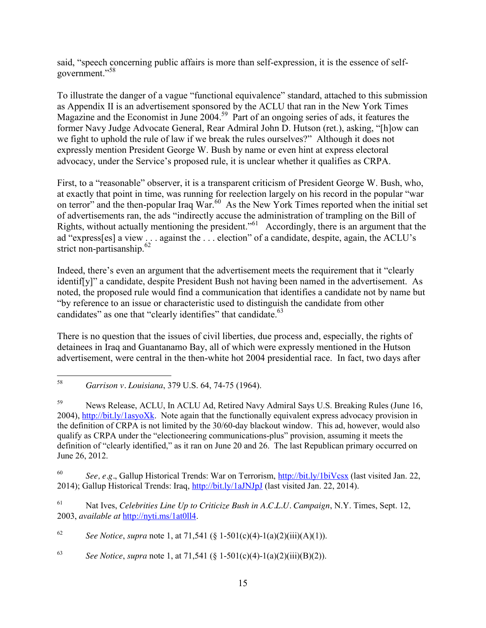said, "speech concerning public affairs is more than self-expression, it is the essence of selfgovernment."<sup>58</sup>

To illustrate the danger of a vague "functional equivalence" standard, attached to this submission as Appendix II is an advertisement sponsored by the ACLU that ran in the New York Times Magazine and the Economist in June 2004.<sup>59</sup> Part of an ongoing series of ads, it features the former Navy Judge Advocate General, Rear Admiral John D. Hutson (ret.), asking, "[h]ow can we fight to uphold the rule of law if we break the rules ourselves?" Although it does not expressly mention President George W. Bush by name or even hint at express electoral advocacy, under the Service's proposed rule, it is unclear whether it qualifies as CRPA.

First, to a "reasonable" observer, it is a transparent criticism of President George W. Bush, who, at exactly that point in time, was running for reelection largely on his record in the popular "war on terror" and the then-popular Iraq War.<sup>60</sup> As the New York Times reported when the initial set of advertisements ran, the ads "indirectly accuse the administration of trampling on the Bill of Rights, without actually mentioning the president."61 Accordingly, there is an argument that the ad "express[es] a view . . . against the . . . election" of a candidate, despite, again, the ACLU's strict non-partisanship. $62$ 

Indeed, there's even an argument that the advertisement meets the requirement that it "clearly identif[y]" a candidate, despite President Bush not having been named in the advertisement. As noted, the proposed rule would find a communication that identifies a candidate not by name but "by reference to an issue or characteristic used to distinguish the candidate from other candidates" as one that "clearly identifies" that candidate.<sup>63</sup>

There is no question that the issues of civil liberties, due process and, especially, the rights of detainees in Iraq and Guantanamo Bay, all of which were expressly mentioned in the Hutson advertisement, were central in the then-white hot 2004 presidential race. In fact, two days after

<sup>60</sup> *See, e.g.*, Gallup Historical Trends: War on Terrorism,<http://bit.ly/1biVcsx> (last visited Jan. 22, 2014); Gallup Historical Trends: Iraq,<http://bit.ly/1aJNJpJ> (last visited Jan. 22, 2014).

<sup>61</sup> Nat Ives, *Celebrities Line Up to Criticize Bush in A.C.L.U. Campaign*, N.Y. Times, Sept. 12, 2003, *available at* [http://nyti.ms/1at0ll4.](http://nyti.ms/1at0ll4)

<sup>62</sup> *See Notice*, *supra* note 1, at 71,541 (§ 1-501(c)(4)-1(a)(2)(iii)(A)(1)).

<sup>63</sup> *See Notice*, *supra* note 1, at 71,541 (§ 1-501(c)(4)-1(a)(2)(iii)(B)(2)).

 <sup>58</sup> *Garrison v. Louisiana*, 379 U.S. 64, 74-75 (1964).

<sup>59</sup> News Release, ACLU, In ACLU Ad, Retired Navy Admiral Says U.S. Breaking Rules (June 16, 2004), [http://bit.ly/1asyoXk.](http://bit.ly/1asyoXk) Note again that the functionally equivalent express advocacy provision in the definition of CRPA is not limited by the 30/60-day blackout window. This ad, however, would also qualify as CRPA under the "electioneering communications-plus" provision, assuming it meets the definition of "clearly identified," as it ran on June 20 and 26. The last Republican primary occurred on June 26, 2012.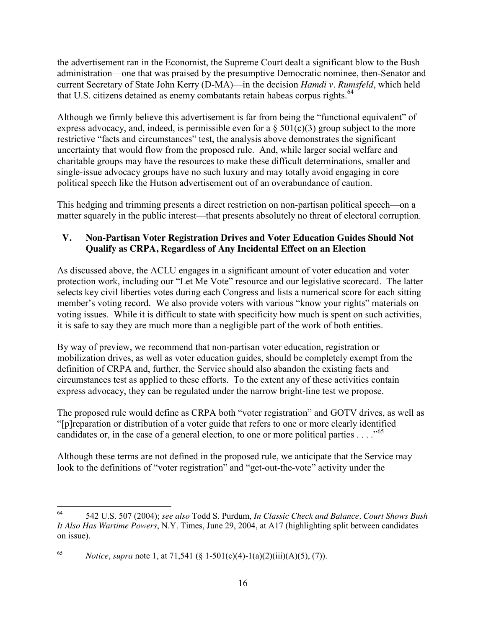the advertisement ran in the Economist, the Supreme Court dealt a significant blow to the Bush administration—one that was praised by the presumptive Democratic nominee, then-Senator and current Secretary of State John Kerry (D-MA)—in the decision *Hamdi v. Rumsfeld*, which held that U.S. citizens detained as enemy combatants retain habeas corpus rights.<sup>64</sup>

Although we firmly believe this advertisement is far from being the "functional equivalent" of express advocacy, and, indeed, is permissible even for a  $\S 501(c)(3)$  group subject to the more restrictive "facts and circumstances" test, the analysis above demonstrates the significant uncertainty that would flow from the proposed rule. And, while larger social welfare and charitable groups may have the resources to make these difficult determinations, smaller and single-issue advocacy groups have no such luxury and may totally avoid engaging in core political speech like the Hutson advertisement out of an overabundance of caution.

This hedging and trimming presents a direct restriction on non-partisan political speech—on a matter squarely in the public interest—that presents absolutely no threat of electoral corruption.

# **V. Non-Partisan Voter Registration Drives and Voter Education Guides Should Not Qualify as CRPA, Regardless of Any Incidental Effect on an Election**

As discussed above, the ACLU engages in a significant amount of voter education and voter protection work, including our "Let Me Vote" resource and our legislative scorecard. The latter selects key civil liberties votes during each Congress and lists a numerical score for each sitting member's voting record. We also provide voters with various "know your rights" materials on voting issues. While it is difficult to state with specificity how much is spent on such activities, it is safe to say they are much more than a negligible part of the work of both entities.

By way of preview, we recommend that non-partisan voter education, registration or mobilization drives, as well as voter education guides, should be completely exempt from the definition of CRPA and, further, the Service should also abandon the existing facts and circumstances test as applied to these efforts. To the extent any of these activities contain express advocacy, they can be regulated under the narrow bright-line test we propose.

The proposed rule would define as CRPA both "voter registration" and GOTV drives, as well as "[p]reparation or distribution of a voter guide that refers to one or more clearly identified candidates or, in the case of a general election, to one or more political parties  $\dots$ ."<sup>65</sup>

Although these terms are not defined in the proposed rule, we anticipate that the Service may look to the definitions of "voter registration" and "get-out-the-vote" activity under the

 <sup>64</sup> 542 U.S. 507 (2004); *see also* Todd S. Purdum, *In Classic Check and Balance, Court Shows Bush It Also Has Wartime Powers*, N.Y. Times, June 29, 2004, at A17 (highlighting split between candidates on issue).

<sup>65</sup> *Notice*, *supra* note 1, at 71,541 (§ 1-501(c)(4)-1(a)(2)(iii)(A)(5), (7)).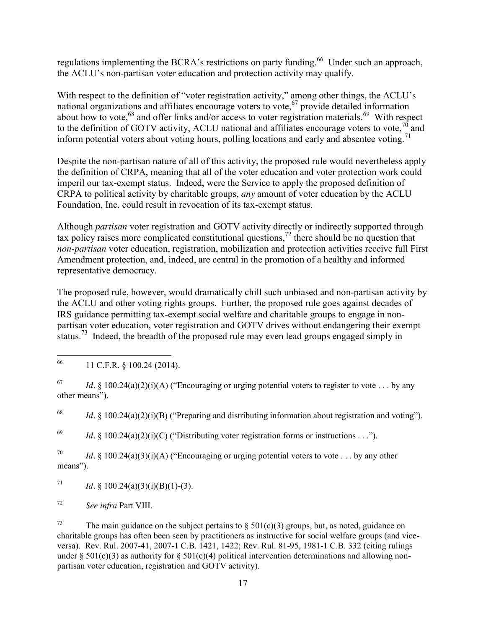regulations implementing the BCRA's restrictions on party funding.<sup>66</sup> Under such an approach, the ACLU's non-partisan voter education and protection activity may qualify.

With respect to the definition of "voter registration activity," among other things, the ACLU's national organizations and affiliates encourage voters to vote,<sup>67</sup> provide detailed information about how to vote,<sup>68</sup> and offer links and/or access to voter registration materials.<sup>69</sup> With respect to the definition of GOTV activity, ACLU national and affiliates encourage voters to vote,  $\frac{1}{10}$  and inform potential voters about voting hours, polling locations and early and absentee voting.<sup>71</sup>

Despite the non-partisan nature of all of this activity, the proposed rule would nevertheless apply the definition of CRPA, meaning that all of the voter education and voter protection work could imperil our tax-exempt status. Indeed, were the Service to apply the proposed definition of CRPA to political activity by charitable groups, *any* amount of voter education by the ACLU Foundation, Inc. could result in revocation of its tax-exempt status.

Although *partisan* voter registration and GOTV activity directly or indirectly supported through tax policy raises more complicated constitutional questions,<sup>72</sup> there should be no question that *non-partisan* voter education, registration, mobilization and protection activities receive full First Amendment protection, and, indeed, are central in the promotion of a healthy and informed representative democracy.

The proposed rule, however, would dramatically chill such unbiased and non-partisan activity by the ACLU and other voting rights groups. Further, the proposed rule goes against decades of IRS guidance permitting tax-exempt social welfare and charitable groups to engage in nonpartisan voter education, voter registration and GOTV drives without endangering their exempt status.<sup>73</sup> Indeed, the breadth of the proposed rule may even lead groups engaged simply in

<sup>68</sup> *Id.* § 100.24(a)(2)(i)(B) ("Preparing and distributing information about registration and voting").

<sup>69</sup> *Id.* § 100.24(a)(2)(i)(C) ("Distributing voter registration forms or instructions . . .").

<sup>70</sup> *Id.* § 100.24(a)(3)(i)(A) ("Encouraging or urging potential voters to vote . . . by any other means").

<sup>71</sup> *Id.* § 100.24(a)(3)(i)(B)(1)-(3).

<sup>72</sup> *See infra* Part VIII.

<sup>73</sup> The main guidance on the subject pertains to  $\S$  501(c)(3) groups, but, as noted, guidance on charitable groups has often been seen by practitioners as instructive for social welfare groups (and viceversa). Rev. Rul. 2007-41, 2007-1 C.B. 1421, 1422; Rev. Rul. 81-95, 1981-1 C.B. 332 (citing rulings under § 501(c)(3) as authority for § 501(c)(4) political intervention determinations and allowing nonpartisan voter education, registration and GOTV activity).

 <sup>66</sup> 11 C.F.R. § 100.24 (2014).

<sup>&</sup>lt;sup>67</sup> *Id.* § 100.24(a)(2)(i)(A) ("Encouraging or urging potential voters to register to vote . . . by any other means").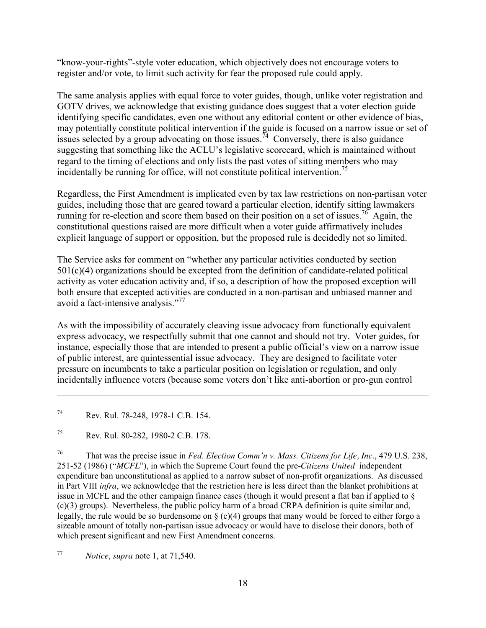"know-your-rights"-style voter education, which objectively does not encourage voters to register and/or vote, to limit such activity for fear the proposed rule could apply.

The same analysis applies with equal force to voter guides, though, unlike voter registration and GOTV drives, we acknowledge that existing guidance does suggest that a voter election guide identifying specific candidates, even one without any editorial content or other evidence of bias, may potentially constitute political intervention if the guide is focused on a narrow issue or set of issues selected by a group advocating on those issues.<sup>74</sup> Conversely, there is also guidance suggesting that something like the ACLU's legislative scorecard, which is maintained without regard to the timing of elections and only lists the past votes of sitting members who may incidentally be running for office, will not constitute political intervention. 75

Regardless, the First Amendment is implicated even by tax law restrictions on non-partisan voter guides, including those that are geared toward a particular election, identify sitting lawmakers running for re-election and score them based on their position on a set of issues.<sup>76</sup> Again, the constitutional questions raised are more difficult when a voter guide affirmatively includes explicit language of support or opposition, but the proposed rule is decidedly not so limited.

The Service asks for comment on "whether any particular activities conducted by section 501(c)(4) organizations should be excepted from the definition of candidate-related political activity as voter education activity and, if so, a description of how the proposed exception will both ensure that excepted activities are conducted in a non-partisan and unbiased manner and avoid a fact-intensive analysis."<sup>77</sup>

As with the impossibility of accurately cleaving issue advocacy from functionally equivalent express advocacy, we respectfully submit that one cannot and should not try. Voter guides, for instance, especially those that are intended to present a public official's view on a narrow issue of public interest, are quintessential issue advocacy. They are designed to facilitate voter pressure on incumbents to take a particular position on legislation or regulation, and only incidentally influence voters (because some voters don't like anti-abortion or pro-gun control

<sup>74</sup> Rev. Rul. 78-248, 1978-1 C.B. 154.

 $\overline{a}$ 

<sup>75</sup> Rev. Rul. 80-282, 1980-2 C.B. 178.

<sup>76</sup> That was the precise issue in *Fed. Election Comm'n v. Mass. Citizens for Life, Inc.*, 479 U.S. 238, 251-52 (1986) ("*MCFL*"), in which the Supreme Court found the pre-*Citizens United* independent expenditure ban unconstitutional as applied to a narrow subset of non-profit organizations. As discussed in Part VIII *infra*, we acknowledge that the restriction here is less direct than the blanket prohibitions at issue in MCFL and the other campaign finance cases (though it would present a flat ban if applied to § (c)(3) groups). Nevertheless, the public policy harm of a broad CRPA definition is quite similar and, legally, the rule would be so burdensome on  $\S$  (c)(4) groups that many would be forced to either forgo a sizeable amount of totally non-partisan issue advocacy or would have to disclose their donors, both of which present significant and new First Amendment concerns.

<sup>77</sup> *Notice*, *supra* note 1, at 71,540.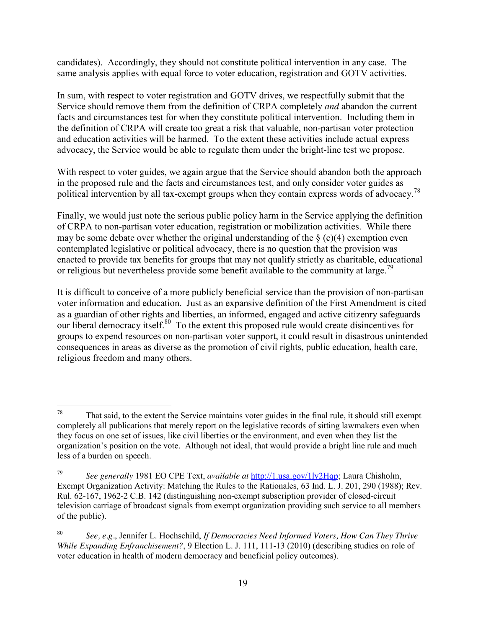candidates). Accordingly, they should not constitute political intervention in any case. The same analysis applies with equal force to voter education, registration and GOTV activities.

In sum, with respect to voter registration and GOTV drives, we respectfully submit that the Service should remove them from the definition of CRPA completely *and* abandon the current facts and circumstances test for when they constitute political intervention. Including them in the definition of CRPA will create too great a risk that valuable, non-partisan voter protection and education activities will be harmed. To the extent these activities include actual express advocacy, the Service would be able to regulate them under the bright-line test we propose.

With respect to voter guides, we again argue that the Service should abandon both the approach in the proposed rule and the facts and circumstances test, and only consider voter guides as political intervention by all tax-exempt groups when they contain express words of advocacy.<sup>78</sup>

Finally, we would just note the serious public policy harm in the Service applying the definition of CRPA to non-partisan voter education, registration or mobilization activities. While there may be some debate over whether the original understanding of the  $\S$  (c)(4) exemption even contemplated legislative or political advocacy, there is no question that the provision was enacted to provide tax benefits for groups that may not qualify strictly as charitable, educational or religious but nevertheless provide some benefit available to the community at large.<sup>79</sup>

It is difficult to conceive of a more publicly beneficial service than the provision of non-partisan voter information and education. Just as an expansive definition of the First Amendment is cited as a guardian of other rights and liberties, an informed, engaged and active citizenry safeguards our liberal democracy itself.<sup>80</sup> To the extent this proposed rule would create disincentives for groups to expend resources on non-partisan voter support, it could result in disastrous unintended consequences in areas as diverse as the promotion of civil rights, public education, health care, religious freedom and many others.

 $78$  That said, to the extent the Service maintains voter guides in the final rule, it should still exempt completely all publications that merely report on the legislative records of sitting lawmakers even when they focus on one set of issues, like civil liberties or the environment, and even when they list the organization's position on the vote. Although not ideal, that would provide a bright line rule and much less of a burden on speech.

<sup>79</sup> *See generally* 1981 EO CPE Text, *available at* [http://1.usa.gov/1lv2Hqp;](http://1.usa.gov/1lv2Hqp) Laura Chisholm, Exempt Organization Activity: Matching the Rules to the Rationales, 63 Ind. L. J. 201, 290 (1988); Rev. Rul. 62-167, 1962-2 C.B. 142 (distinguishing non-exempt subscription provider of closed-circuit television carriage of broadcast signals from exempt organization providing such service to all members of the public).

<sup>80</sup> *See, e.g.*, Jennifer L. Hochschild, *If Democracies Need Informed Voters, How Can They Thrive While Expanding Enfranchisement?*, 9 Election L. J. 111, 111-13 (2010) (describing studies on role of voter education in health of modern democracy and beneficial policy outcomes).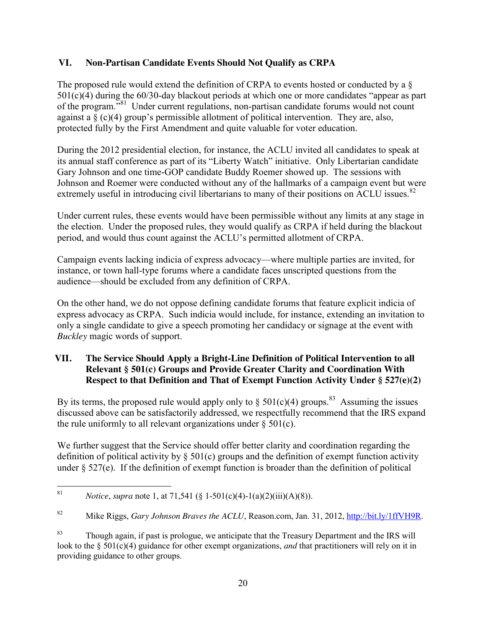#### **VI. Non-Partisan Candidate Events Should Not Qualify as CRPA**

The proposed rule would extend the definition of CRPA to events hosted or conducted by a § 501(c)(4) during the 60/30-day blackout periods at which one or more candidates "appear as part of the program."81 Under current regulations, non-partisan candidate forums would not count against a  $\S$  (c)(4) group's permissible allotment of political intervention. They are, also, protected fully by the First Amendment and quite valuable for voter education.

During the 2012 presidential election, for instance, the ACLU invited all candidates to speak at its annual staff conference as part of its "Liberty Watch" initiative. Only Libertarian candidate Gary Johnson and one time-GOP candidate Buddy Roemer showed up. The sessions with Johnson and Roemer were conducted without any of the hallmarks of a campaign event but were extremely useful in introducing civil libertarians to many of their positions on ACLU issues.<sup>82</sup>

Under current rules, these events would have been permissible without any limits at any stage in the election. Under the proposed rules, they would qualify as CRPA if held during the blackout period, and would thus count against the ACLU's permitted allotment of CRPA.

Campaign events lacking indicia of express advocacy—where multiple parties are invited, for instance, or town hall-type forums where a candidate faces unscripted questions from the audience—should be excluded from any definition of CRPA.

On the other hand, we do not oppose defining candidate forums that feature explicit indicia of express advocacy as CRPA. Such indicia would include, for instance, extending an invitation to only a single candidate to give a speech promoting her candidacy or signage at the event with *Buckley* magic words of support.

## **VII. The Service Should Apply a Bright-Line Definition of Political Intervention to all Relevant § 501(c) Groups and Provide Greater Clarity and Coordination With Respect to that Definition and That of Exempt Function Activity Under § 527(e)(2)**

By its terms, the proposed rule would apply only to  $\S 501(c)(4)$  groups.<sup>83</sup> Assuming the issues discussed above can be satisfactorily addressed, we respectfully recommend that the IRS expand the rule uniformly to all relevant organizations under  $\S 501(c)$ .

We further suggest that the Service should offer better clarity and coordination regarding the definition of political activity by § 501(c) groups and the definition of exempt function activity under  $\S 527(e)$ . If the definition of exempt function is broader than the definition of political

 <sup>81</sup> *Notice*, *supra* note 1, at 71,541 (§ 1-501(c)(4)-1(a)(2)(iii)(A)(8)).

<sup>82</sup> Mike Riggs, *Gary Johnson Braves the ACLU*, Reason.com, Jan. 31, 2012[, http://bit.ly/1ffVH9R.](http://bit.ly/1ffVH9R)

<sup>&</sup>lt;sup>83</sup> Though again, if past is prologue, we anticipate that the Treasury Department and the IRS will look to the § 501(c)(4) guidance for other exempt organizations, *and* that practitioners will rely on it in providing guidance to other groups.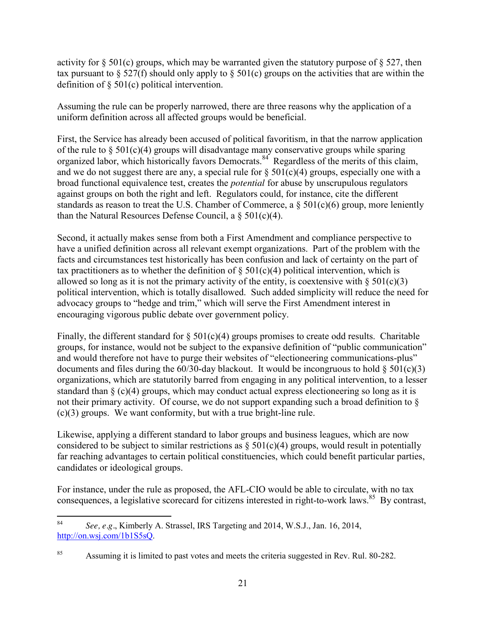activity for  $\S 501(c)$  groups, which may be warranted given the statutory purpose of  $\S 527$ , then tax pursuant to  $\S 527(f)$  should only apply to  $\S 501(c)$  groups on the activities that are within the definition of § 501(c) political intervention.

Assuming the rule can be properly narrowed, there are three reasons why the application of a uniform definition across all affected groups would be beneficial.

First, the Service has already been accused of political favoritism, in that the narrow application of the rule to  $\S 501(c)(4)$  groups will disadvantage many conservative groups while sparing organized labor, which historically favors Democrats.<sup>84</sup> Regardless of the merits of this claim, and we do not suggest there are any, a special rule for  $\S 501(c)(4)$  groups, especially one with a broad functional equivalence test, creates the *potential* for abuse by unscrupulous regulators against groups on both the right and left. Regulators could, for instance, cite the different standards as reason to treat the U.S. Chamber of Commerce, a  $\S 501(c)(6)$  group, more leniently than the Natural Resources Defense Council, a  $\S 501(c)(4)$ .

Second, it actually makes sense from both a First Amendment and compliance perspective to have a unified definition across all relevant exempt organizations. Part of the problem with the facts and circumstances test historically has been confusion and lack of certainty on the part of tax practitioners as to whether the definition of  $\S 501(c)(4)$  political intervention, which is allowed so long as it is not the primary activity of the entity, is coextensive with  $\S 501(c)(3)$ political intervention, which is totally disallowed. Such added simplicity will reduce the need for advocacy groups to "hedge and trim," which will serve the First Amendment interest in encouraging vigorous public debate over government policy.

Finally, the different standard for  $\S 501(c)(4)$  groups promises to create odd results. Charitable groups, for instance, would not be subject to the expansive definition of "public communication" and would therefore not have to purge their websites of "electioneering communications-plus" documents and files during the  $60/30$ -day blackout. It would be incongruous to hold  $\S 501(c)(3)$ organizations, which are statutorily barred from engaging in any political intervention, to a lesser standard than  $\S$  (c)(4) groups, which may conduct actual express electioneering so long as it is not their primary activity. Of course, we do not support expanding such a broad definition to  $\delta$ (c)(3) groups. We want conformity, but with a true bright-line rule.

Likewise, applying a different standard to labor groups and business leagues, which are now considered to be subject to similar restrictions as  $\S 501(c)(4)$  groups, would result in potentially far reaching advantages to certain political constituencies, which could benefit particular parties, candidates or ideological groups.

For instance, under the rule as proposed, the AFL-CIO would be able to circulate, with no tax consequences, a legislative scorecard for citizens interested in right-to-work laws.<sup>85</sup> By contrast,

 <sup>84</sup> *See, e.g.*, Kimberly A. Strassel, IRS Targeting and 2014, W.S.J., Jan. 16, 2014, [http://on.wsj.com/1b1S5sQ.](http://on.wsj.com/1b1S5sQ)

<sup>&</sup>lt;sup>85</sup> Assuming it is limited to past votes and meets the criteria suggested in Rev. Rul. 80-282.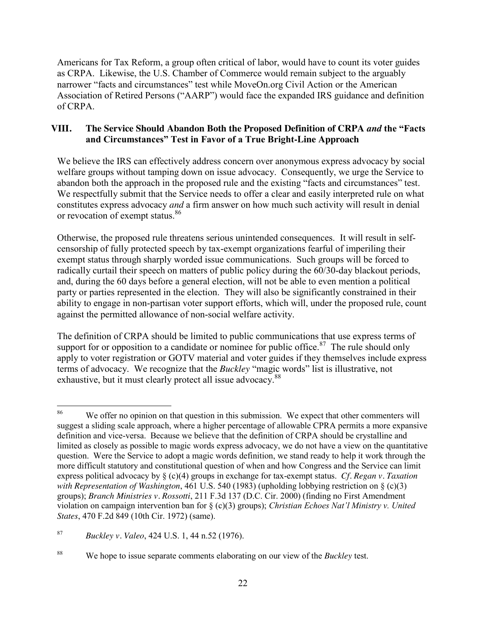Americans for Tax Reform, a group often critical of labor, would have to count its voter guides as CRPA. Likewise, the U.S. Chamber of Commerce would remain subject to the arguably narrower "facts and circumstances" test while MoveOn.org Civil Action or the American Association of Retired Persons ("AARP") would face the expanded IRS guidance and definition of CRPA.

## **VIII. The Service Should Abandon Both the Proposed Definition of CRPA** *and* **the "Facts and Circumstances" Test in Favor of a True Bright-Line Approach**

We believe the IRS can effectively address concern over anonymous express advocacy by social welfare groups without tamping down on issue advocacy. Consequently, we urge the Service to abandon both the approach in the proposed rule and the existing "facts and circumstances" test. We respectfully submit that the Service needs to offer a clear and easily interpreted rule on what constitutes express advocacy *and* a firm answer on how much such activity will result in denial or revocation of exempt status.<sup>86</sup>

Otherwise, the proposed rule threatens serious unintended consequences. It will result in selfcensorship of fully protected speech by tax-exempt organizations fearful of imperiling their exempt status through sharply worded issue communications. Such groups will be forced to radically curtail their speech on matters of public policy during the 60/30-day blackout periods, and, during the 60 days before a general election, will not be able to even mention a political party or parties represented in the election. They will also be significantly constrained in their ability to engage in non-partisan voter support efforts, which will, under the proposed rule, count against the permitted allowance of non-social welfare activity.

The definition of CRPA should be limited to public communications that use express terms of support for or opposition to a candidate or nominee for public office.<sup>87</sup> The rule should only apply to voter registration or GOTV material and voter guides if they themselves include express terms of advocacy. We recognize that the *Buckley* "magic words" list is illustrative, not exhaustive, but it must clearly protect all issue advocacy.<sup>88</sup>

<sup>87</sup> *Buckley v. Valeo*, 424 U.S. 1, 44 n.52 (1976).

<sup>&</sup>lt;sup>86</sup> We offer no opinion on that question in this submission. We expect that other commenters will suggest a sliding scale approach, where a higher percentage of allowable CPRA permits a more expansive definition and vice-versa. Because we believe that the definition of CRPA should be crystalline and limited as closely as possible to magic words express advocacy, we do not have a view on the quantitative question. Were the Service to adopt a magic words definition, we stand ready to help it work through the more difficult statutory and constitutional question of when and how Congress and the Service can limit express political advocacy by § (c)(4) groups in exchange for tax-exempt status. *Cf. Regan v. Taxation with Representation of Washington*, 461 U.S. 540 (1983) (upholding lobbying restriction on § (c)(3) groups); *Branch Ministries v. Rossotti*, 211 F.3d 137 (D.C. Cir. 2000) (finding no First Amendment violation on campaign intervention ban for § (c)(3) groups); *Christian Echoes Nat'l Ministry v. United States*, 470 F.2d 849 (10th Cir. 1972) (same).

<sup>88</sup> We hope to issue separate comments elaborating on our view of the *Buckley* test.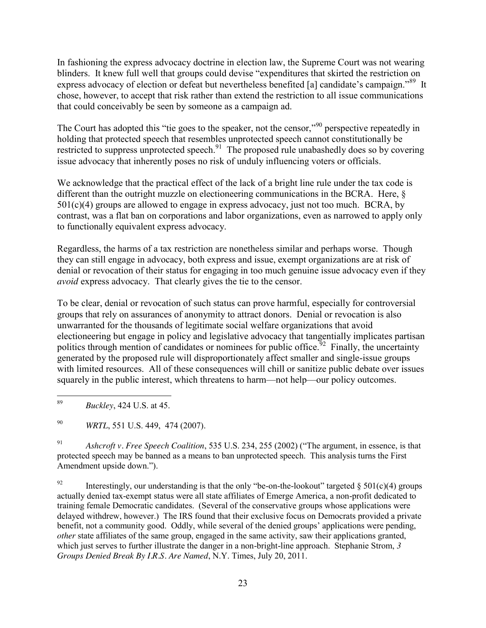In fashioning the express advocacy doctrine in election law, the Supreme Court was not wearing blinders. It knew full well that groups could devise "expenditures that skirted the restriction on express advocacy of election or defeat but nevertheless benefited [a] candidate's campaign."<sup>89</sup> It chose, however, to accept that risk rather than extend the restriction to all issue communications that could conceivably be seen by someone as a campaign ad.

The Court has adopted this "tie goes to the speaker, not the censor,"<sup>90</sup> perspective repeatedly in holding that protected speech that resembles unprotected speech cannot constitutionally be restricted to suppress unprotected speech.<sup>91</sup> The proposed rule unabashedly does so by covering issue advocacy that inherently poses no risk of unduly influencing voters or officials.

We acknowledge that the practical effect of the lack of a bright line rule under the tax code is different than the outright muzzle on electioneering communications in the BCRA. Here, § 501(c)(4) groups are allowed to engage in express advocacy, just not too much. BCRA, by contrast, was a flat ban on corporations and labor organizations, even as narrowed to apply only to functionally equivalent express advocacy.

Regardless, the harms of a tax restriction are nonetheless similar and perhaps worse. Though they can still engage in advocacy, both express and issue, exempt organizations are at risk of denial or revocation of their status for engaging in too much genuine issue advocacy even if they *avoid* express advocacy. That clearly gives the tie to the censor.

To be clear, denial or revocation of such status can prove harmful, especially for controversial groups that rely on assurances of anonymity to attract donors. Denial or revocation is also unwarranted for the thousands of legitimate social welfare organizations that avoid electioneering but engage in policy and legislative advocacy that tangentially implicates partisan politics through mention of candidates or nominees for public office.<sup>32</sup> Finally, the uncertainty generated by the proposed rule will disproportionately affect smaller and single-issue groups with limited resources. All of these consequences will chill or sanitize public debate over issues squarely in the public interest, which threatens to harm—not help—our policy outcomes.

89 *Buckley*, 424 U.S. at 45.

<sup>90</sup> *WRTL*, 551 U.S. 449, 474 (2007).

<sup>91</sup> *Ashcroft v. Free Speech Coalition*, 535 U.S. 234, 255 (2002) ("The argument, in essence, is that protected speech may be banned as a means to ban unprotected speech. This analysis turns the First Amendment upside down.").

<sup>92</sup> Interestingly, our understanding is that the only "be-on-the-lookout" targeted  $\S 501(c)(4)$  groups actually denied tax-exempt status were all state affiliates of Emerge America, a non-profit dedicated to training female Democratic candidates. (Several of the conservative groups whose applications were delayed withdrew, however.) The IRS found that their exclusive focus on Democrats provided a private benefit, not a community good. Oddly, while several of the denied groups' applications were pending, *other* state affiliates of the same group, engaged in the same activity, saw their applications granted, which just serves to further illustrate the danger in a non-bright-line approach. Stephanie Strom, 3 *Groups Denied Break By I.R.S. Are Named*, N.Y. Times, July 20, 2011.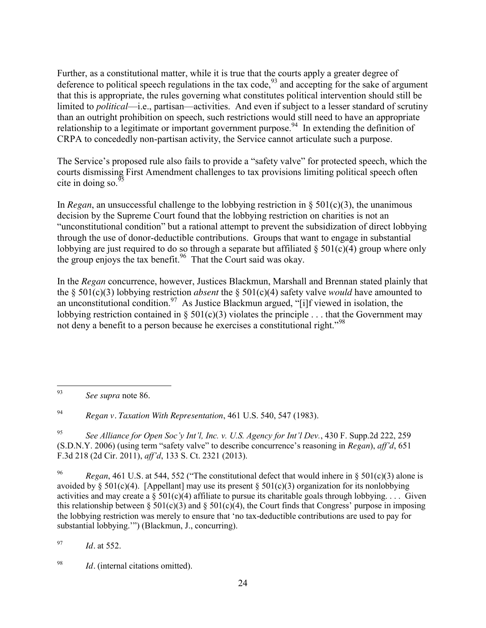Further, as a constitutional matter, while it is true that the courts apply a greater degree of deference to political speech regulations in the tax code,  $93$  and accepting for the sake of argument that this is appropriate, the rules governing what constitutes political intervention should still be limited to *political*—i.e., partisan—activities. And even if subject to a lesser standard of scrutiny than an outright prohibition on speech, such restrictions would still need to have an appropriate relationship to a legitimate or important government purpose.<sup>94</sup> In extending the definition of CRPA to concededly non-partisan activity, the Service cannot articulate such a purpose.

The Service's proposed rule also fails to provide a "safety valve" for protected speech, which the courts dismissing First Amendment challenges to tax provisions limiting political speech often cite in doing so.  $\frac{95}{3}$ 

In *Regan*, an unsuccessful challenge to the lobbying restriction in  $\S$  501(c)(3), the unanimous decision by the Supreme Court found that the lobbying restriction on charities is not an "unconstitutional condition" but a rational attempt to prevent the subsidization of direct lobbying through the use of donor-deductible contributions. Groups that want to engage in substantial lobbying are just required to do so through a separate but affiliated  $\delta$  501(c)(4) group where only the group enjoys the tax benefit. 96 That the Court said was okay.

In the *Regan* concurrence, however, Justices Blackmun, Marshall and Brennan stated plainly that the § 501(c)(3) lobbying restriction *absent* the § 501(c)(4) safety valve *would* have amounted to an unconstitutional condition.<sup>97</sup> As Justice Blackmun argued, "[i]f viewed in isolation, the lobbying restriction contained in § 501(c)(3) violates the principle . . . that the Government may not deny a benefit to a person because he exercises a constitutional right.<sup>"98</sup>

<sup>94</sup> *Regan v. Taxation With Representation*, 461 U.S. 540, 547 (1983).

<sup>95</sup> *See Alliance for Open Soc'y Int'l, Inc. v. U.S. Agency for Int'l Dev.*, 430 F. Supp.2d 222, 259 (S.D.N.Y. 2006) (using term "safety valve" to describe concurrence's reasoning in *Regan*), *aff'd*, 651 F.3d 218 (2d Cir. 2011), *aff'd*, 133 S. Ct. 2321 (2013).

<sup>96</sup> *Regan*, 461 U.S*.* at 544, 552 ("The constitutional defect that would inhere in § 501(c)(3) alone is avoided by § 501(c)(4). [Appellant] may use its present § 501(c)(3) organization for its nonlobbying activities and may create a  $\S 501(c)(4)$  affiliate to pursue its charitable goals through lobbying.... Given this relationship between § 501(c)(3) and § 501(c)(4), the Court finds that Congress' purpose in imposing the lobbying restriction was merely to ensure that 'no tax-deductible contributions are used to pay for substantial lobbying.'") (Blackmun, J., concurring).

<sup>97</sup> *Id.* at 552.

<sup>98</sup> *Id.* (internal citations omitted).

 <sup>93</sup> *See supra* note 86.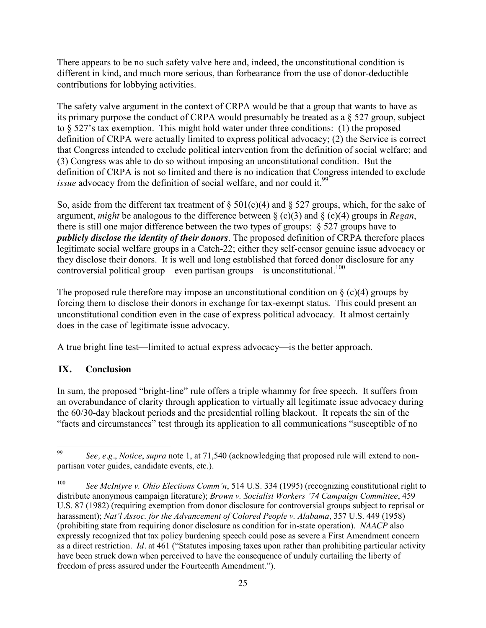There appears to be no such safety valve here and, indeed, the unconstitutional condition is different in kind, and much more serious, than forbearance from the use of donor-deductible contributions for lobbying activities.

The safety valve argument in the context of CRPA would be that a group that wants to have as its primary purpose the conduct of CRPA would presumably be treated as a § 527 group, subject to § 527's tax exemption. This might hold water under three conditions: (1) the proposed definition of CRPA were actually limited to express political advocacy; (2) the Service is correct that Congress intended to exclude political intervention from the definition of social welfare; and (3) Congress was able to do so without imposing an unconstitutional condition. But the definition of CRPA is not so limited and there is no indication that Congress intended to exclude *issue* advocacy from the definition of social welfare, and nor could it.<sup>99</sup>

So, aside from the different tax treatment of  $\S 501(c)(4)$  and  $\S 527$  groups, which, for the sake of argument, *might* be analogous to the difference between § (c)(3) and § (c)(4) groups in *Regan*, there is still one major difference between the two types of groups: § 527 groups have to *publicly disclose the identity of their donors*. The proposed definition of CRPA therefore places legitimate social welfare groups in a Catch-22; either they self-censor genuine issue advocacy or they disclose their donors. It is well and long established that forced donor disclosure for any controversial political group—even partisan groups—is unconstitutional.<sup>100</sup>

The proposed rule therefore may impose an unconstitutional condition on  $\S$  (c)(4) groups by forcing them to disclose their donors in exchange for tax-exempt status. This could present an unconstitutional condition even in the case of express political advocacy. It almost certainly does in the case of legitimate issue advocacy.

A true bright line test—limited to actual express advocacy—is the better approach.

# **IX. Conclusion**

In sum, the proposed "bright-line" rule offers a triple whammy for free speech. It suffers from an overabundance of clarity through application to virtually all legitimate issue advocacy during the 60/30-day blackout periods and the presidential rolling blackout. It repeats the sin of the "facts and circumstances" test through its application to all communications "susceptible of no

 <sup>99</sup> *See, e.g.*, *Notice*, *supra* note 1, at 71,540 (acknowledging that proposed rule will extend to nonpartisan voter guides, candidate events, etc.).

<sup>100</sup> *See McIntyre v. Ohio Elections Comm'n*, 514 U.S. 334 (1995) (recognizing constitutional right to distribute anonymous campaign literature); *Brown v. Socialist Workers '74 Campaign Committee*, 459 U.S. 87 (1982) (requiring exemption from donor disclosure for controversial groups subject to reprisal or harassment); *Nat'l Assoc. for the Advancement of Colored People v. Alabama*, 357 U.S. 449 (1958) (prohibiting state from requiring donor disclosure as condition for in-state operation). *NAACP* also expressly recognized that tax policy burdening speech could pose as severe a First Amendment concern as a direct restriction. *Id.* at 461 ("Statutes imposing taxes upon rather than prohibiting particular activity have been struck down when perceived to have the consequence of unduly curtailing the liberty of freedom of press assured under the Fourteenth Amendment.").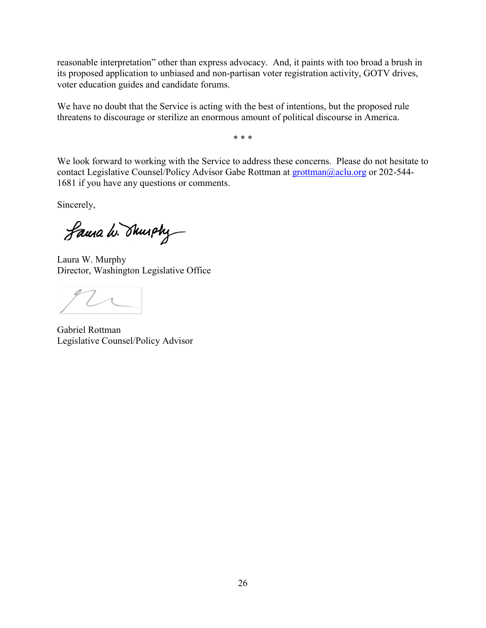reasonable interpretation" other than express advocacy. And, it paints with too broad a brush in its proposed application to unbiased and non-partisan voter registration activity, GOTV drives, voter education guides and candidate forums.

We have no doubt that the Service is acting with the best of intentions, but the proposed rule threatens to discourage or sterilize an enormous amount of political discourse in America.

\* \* \*

We look forward to working with the Service to address these concerns. Please do not hesitate to contact Legislative Counsel/Policy Advisor Gabe Rottman at [grottman@aclu.org](mailto:grottman@aclu.org) or 202-544-1681 if you have any questions or comments.

Sincerely,

Laura W. Shurphy

Laura W. Murphy Director, Washington Legislative Office

Gabriel Rottman Legislative Counsel/Policy Advisor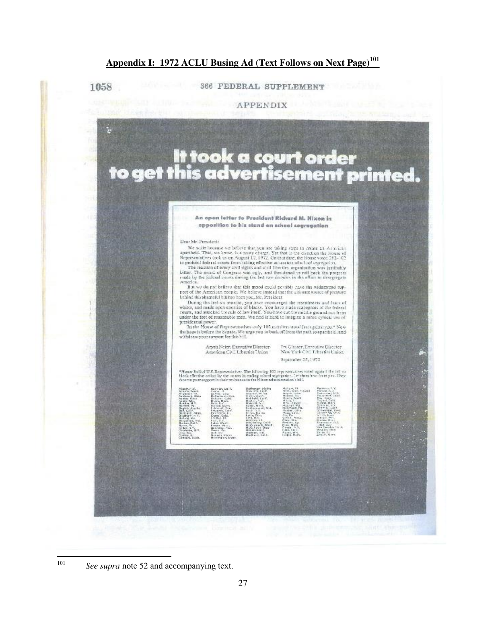# **Appendix I: 1972 ACLU Busing Ad (Text Follows on Next Page)<sup>101</sup>**

1058

366 FEDERAL SUPPLEMENT





<sup>&</sup>lt;sup>101</sup> *See supra* note 52 and accompanying text.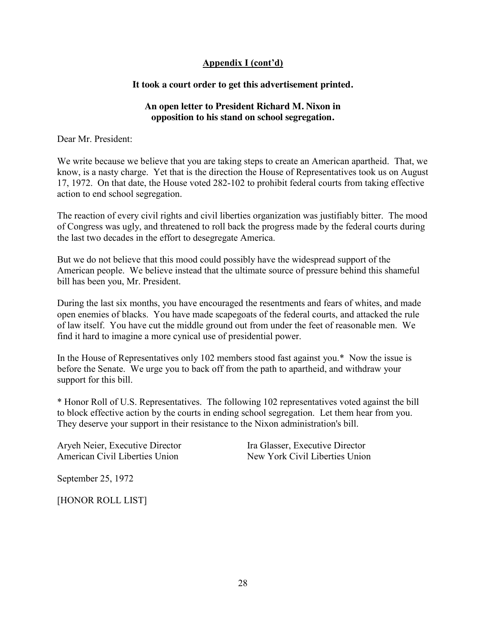#### **Appendix I (cont'd)**

#### **It took a court order to get this advertisement printed.**

#### **An open letter to President Richard M. Nixon in opposition to his stand on school segregation.**

Dear Mr. President:

We write because we believe that you are taking steps to create an American apartheid. That, we know, is a nasty charge. Yet that is the direction the House of Representatives took us on August 17, 1972. On that date, the House voted 282-102 to prohibit federal courts from taking effective action to end school segregation.

The reaction of every civil rights and civil liberties organization was justifiably bitter. The mood of Congress was ugly, and threatened to roll back the progress made by the federal courts during the last two decades in the effort to desegregate America.

But we do not believe that this mood could possibly have the widespread support of the American people. We believe instead that the ultimate source of pressure behind this shameful bill has been you, Mr. President.

During the last six months, you have encouraged the resentments and fears of whites, and made open enemies of blacks. You have made scapegoats of the federal courts, and attacked the rule of law itself. You have cut the middle ground out from under the feet of reasonable men. We find it hard to imagine a more cynical use of presidential power.

In the House of Representatives only 102 members stood fast against you.\* Now the issue is before the Senate. We urge you to back off from the path to apartheid, and withdraw your support for this bill.

\* Honor Roll of U.S. Representatives. The following 102 representatives voted against the bill to block effective action by the courts in ending school segregation. Let them hear from you. They deserve your support in their resistance to the Nixon administration's bill.

Aryeh Neier, Executive Director American Civil Liberties Union

Ira Glasser, Executive Director New York Civil Liberties Union

September 25, 1972

[HONOR ROLL LIST]